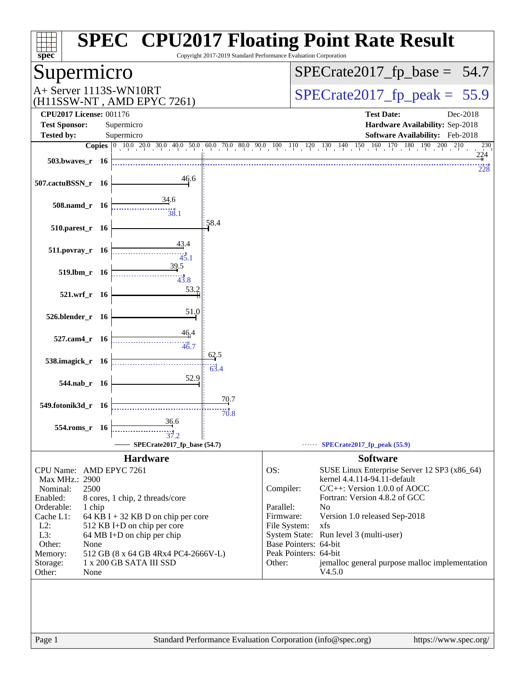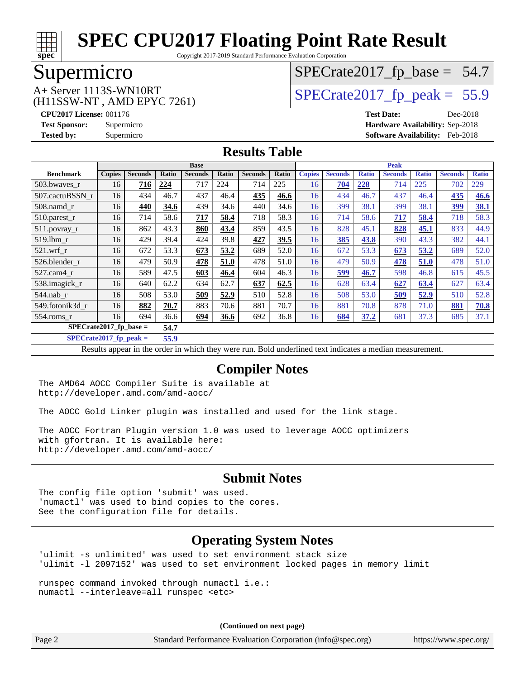

Copyright 2017-2019 Standard Performance Evaluation Corporation

### Supermicro

(H11SSW-NT , AMD EPYC 7261)

# $SPECTate2017_fp\_base = 54.7$

# $A+$  Server 1113S-WN10RT  $\vert$  [SPECrate2017\\_fp\\_peak =](http://www.spec.org/auto/cpu2017/Docs/result-fields.html#SPECrate2017fppeak) 55.9

**[CPU2017 License:](http://www.spec.org/auto/cpu2017/Docs/result-fields.html#CPU2017License)** 001176 **[Test Date:](http://www.spec.org/auto/cpu2017/Docs/result-fields.html#TestDate)** Dec-2018 **[Test Sponsor:](http://www.spec.org/auto/cpu2017/Docs/result-fields.html#TestSponsor)** Supermicro **[Hardware Availability:](http://www.spec.org/auto/cpu2017/Docs/result-fields.html#HardwareAvailability)** Sep-2018 **[Tested by:](http://www.spec.org/auto/cpu2017/Docs/result-fields.html#Testedby)** Supermicro **[Software Availability:](http://www.spec.org/auto/cpu2017/Docs/result-fields.html#SoftwareAvailability)** Feb-2018

#### **[Results Table](http://www.spec.org/auto/cpu2017/Docs/result-fields.html#ResultsTable)**

|                          | <b>Base</b>   |                |       |                |       | <b>Peak</b>    |       |               |                |              |                |              |                |              |
|--------------------------|---------------|----------------|-------|----------------|-------|----------------|-------|---------------|----------------|--------------|----------------|--------------|----------------|--------------|
| <b>Benchmark</b>         | <b>Copies</b> | <b>Seconds</b> | Ratio | <b>Seconds</b> | Ratio | <b>Seconds</b> | Ratio | <b>Copies</b> | <b>Seconds</b> | <b>Ratio</b> | <b>Seconds</b> | <b>Ratio</b> | <b>Seconds</b> | <b>Ratio</b> |
| 503.bwaves_r             | 16            | <u>716</u>     | 224   | 717            | 224   | 714            | 225   | 16            | 704            | 228          | 714            | 225          | 702            | 229          |
| 507.cactuBSSN r          | 16            | 434            | 46.7  | 437            | 46.4  | 435            | 46.6  | 16            | 434            | 46.7         | 437            | 46.4         | 435            | 46.6         |
| $508$ .namd $r$          | 16            | 440            | 34.6  | 439            | 34.6  | 440            | 34.6  | 16            | 399            | 38.1         | 399            | 38.1         | 399            | 38.1         |
| 510.parest_r             | 16            | 714            | 58.6  | 717            | 58.4  | 718            | 58.3  | 16            | 714            | 58.6         | 717            | 58.4         | 718            | 58.3         |
| 511.povray_r             | 16            | 862            | 43.3  | 860            | 43.4  | 859            | 43.5  | 16            | 828            | 45.1         | 828            | 45.1         | 833            | 44.9         |
| 519.1bm r                | 16            | 429            | 39.4  | 424            | 39.8  | 427            | 39.5  | 16            | 385            | 43.8         | 390            | 43.3         | 382            | 44.1         |
| $521$ .wrf r             | 16            | 672            | 53.3  | 673            | 53.2  | 689            | 52.0  | 16            | 672            | 53.3         | 673            | 53.2         | 689            | 52.0         |
| 526.blender r            | 16            | 479            | 50.9  | 478            | 51.0  | 478            | 51.0  | 16            | 479            | 50.9         | 478            | 51.0         | 478            | 51.0         |
| 527.cam4 r               | 16            | 589            | 47.5  | 603            | 46.4  | 604            | 46.3  | 16            | 599            | 46.7         | 598            | 46.8         | 615            | 45.5         |
| 538.imagick_r            | 16            | 640            | 62.2  | 634            | 62.7  | 637            | 62.5  | 16            | 628            | 63.4         | 627            | 63.4         | 627            | 63.4         |
| $544$ .nab r             | 16            | 508            | 53.0  | 509            | 52.9  | 510            | 52.8  | 16            | 508            | 53.0         | 509            | 52.9         | 510            | 52.8         |
| 549.fotonik3d r          | 16            | 882            | 70.7  | 883            | 70.6  | 881            | 70.7  | 16            | 881            | 70.8         | 878            | 71.0         | 881            | 70.8         |
| $554$ .roms r            | 16            | 694            | 36.6  | 694            | 36.6  | 692            | 36.8  | 16            | 684            | 37.2         | 681            | 37.3         | 685            | 37.1         |
| $SPECrate2017$ fp base = |               | 54.7           |       |                |       |                |       |               |                |              |                |              |                |              |

**[SPECrate2017\\_fp\\_peak =](http://www.spec.org/auto/cpu2017/Docs/result-fields.html#SPECrate2017fppeak) 55.9**

Results appear in the [order in which they were run.](http://www.spec.org/auto/cpu2017/Docs/result-fields.html#RunOrder) Bold underlined text [indicates a median measurement.](http://www.spec.org/auto/cpu2017/Docs/result-fields.html#Median)

#### **[Compiler Notes](http://www.spec.org/auto/cpu2017/Docs/result-fields.html#CompilerNotes)**

The AMD64 AOCC Compiler Suite is available at <http://developer.amd.com/amd-aocc/>

The AOCC Gold Linker plugin was installed and used for the link stage.

The AOCC Fortran Plugin version 1.0 was used to leverage AOCC optimizers with gfortran. It is available here: <http://developer.amd.com/amd-aocc/>

#### **[Submit Notes](http://www.spec.org/auto/cpu2017/Docs/result-fields.html#SubmitNotes)**

The config file option 'submit' was used. 'numactl' was used to bind copies to the cores. See the configuration file for details.

### **[Operating System Notes](http://www.spec.org/auto/cpu2017/Docs/result-fields.html#OperatingSystemNotes)**

'ulimit -s unlimited' was used to set environment stack size 'ulimit -l 2097152' was used to set environment locked pages in memory limit

runspec command invoked through numactl i.e.: numactl --interleave=all runspec <etc>

**(Continued on next page)**

Page 2 Standard Performance Evaluation Corporation [\(info@spec.org\)](mailto:info@spec.org) <https://www.spec.org/>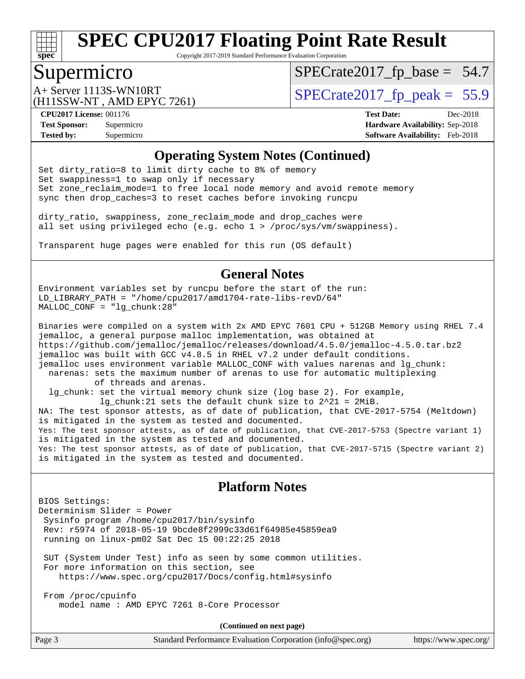

Copyright 2017-2019 Standard Performance Evaluation Corporation

### Supermicro

 $SPECTate2017_fp\_base = 54.7$ 

(H11SSW-NT , AMD EPYC 7261)

 $A+$  Server 1113S-WN10RT  $\begin{array}{c|c}\n\text{SPECrate2017\_fp\_peak} = 55.9\n\end{array}$ 

**[Tested by:](http://www.spec.org/auto/cpu2017/Docs/result-fields.html#Testedby)** Supermicro **[Software Availability:](http://www.spec.org/auto/cpu2017/Docs/result-fields.html#SoftwareAvailability)** Feb-2018

**[CPU2017 License:](http://www.spec.org/auto/cpu2017/Docs/result-fields.html#CPU2017License)** 001176 **[Test Date:](http://www.spec.org/auto/cpu2017/Docs/result-fields.html#TestDate)** Dec-2018 **[Test Sponsor:](http://www.spec.org/auto/cpu2017/Docs/result-fields.html#TestSponsor)** Supermicro **[Hardware Availability:](http://www.spec.org/auto/cpu2017/Docs/result-fields.html#HardwareAvailability)** Sep-2018

#### **[Operating System Notes \(Continued\)](http://www.spec.org/auto/cpu2017/Docs/result-fields.html#OperatingSystemNotes)**

Set dirty\_ratio=8 to limit dirty cache to 8% of memory Set swappiness=1 to swap only if necessary Set zone\_reclaim\_mode=1 to free local node memory and avoid remote memory sync then drop\_caches=3 to reset caches before invoking runcpu

dirty\_ratio, swappiness, zone\_reclaim\_mode and drop\_caches were all set using privileged echo (e.g. echo 1 > /proc/sys/vm/swappiness).

Transparent huge pages were enabled for this run (OS default)

#### **[General Notes](http://www.spec.org/auto/cpu2017/Docs/result-fields.html#GeneralNotes)**

Environment variables set by runcpu before the start of the run: LD\_LIBRARY\_PATH = "/home/cpu2017/amd1704-rate-libs-revD/64" MALLOC\_CONF = "lg\_chunk:28"

Binaries were compiled on a system with 2x AMD EPYC 7601 CPU + 512GB Memory using RHEL 7.4 jemalloc, a general purpose malloc implementation, was obtained at <https://github.com/jemalloc/jemalloc/releases/download/4.5.0/jemalloc-4.5.0.tar.bz2> jemalloc was built with GCC v4.8.5 in RHEL v7.2 under default conditions. jemalloc uses environment variable MALLOC\_CONF with values narenas and lg\_chunk: narenas: sets the maximum number of arenas to use for automatic multiplexing of threads and arenas. lg\_chunk: set the virtual memory chunk size (log base 2). For example, lg chunk:21 sets the default chunk size to  $2^21 = 2MiB$ . NA: The test sponsor attests, as of date of publication, that CVE-2017-5754 (Meltdown) is mitigated in the system as tested and documented. Yes: The test sponsor attests, as of date of publication, that CVE-2017-5753 (Spectre variant 1) is mitigated in the system as tested and documented. Yes: The test sponsor attests, as of date of publication, that CVE-2017-5715 (Spectre variant 2) is mitigated in the system as tested and documented.

#### **[Platform Notes](http://www.spec.org/auto/cpu2017/Docs/result-fields.html#PlatformNotes)**

BIOS Settings: Determinism Slider = Power Sysinfo program /home/cpu2017/bin/sysinfo Rev: r5974 of 2018-05-19 9bcde8f2999c33d61f64985e45859ea9 running on linux-pm02 Sat Dec 15 00:22:25 2018

 SUT (System Under Test) info as seen by some common utilities. For more information on this section, see <https://www.spec.org/cpu2017/Docs/config.html#sysinfo>

 From /proc/cpuinfo model name : AMD EPYC 7261 8-Core Processor

**(Continued on next page)**

| Page 3<br>Standard Performance Evaluation Corporation (info@spec.org)<br>https://www.spec.org/ |  |
|------------------------------------------------------------------------------------------------|--|
|------------------------------------------------------------------------------------------------|--|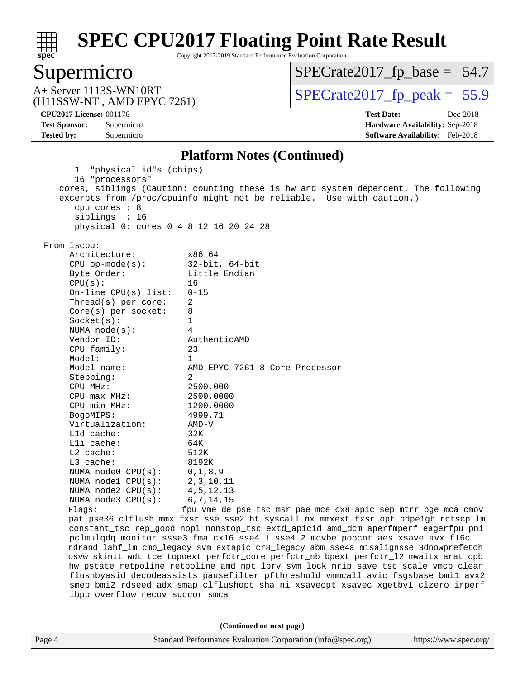

Copyright 2017-2019 Standard Performance Evaluation Corporation

# Supermicro<br>A+ Server 1113S-WN10RT

[SPECrate2017\\_fp\\_base =](http://www.spec.org/auto/cpu2017/Docs/result-fields.html#SPECrate2017fpbase) 54.7

(H11SSW-NT , AMD EPYC 7261)

 $SPECrate 2017_fp\_peak = 55.9$ 

**[Tested by:](http://www.spec.org/auto/cpu2017/Docs/result-fields.html#Testedby)** Supermicro **[Software Availability:](http://www.spec.org/auto/cpu2017/Docs/result-fields.html#SoftwareAvailability)** Feb-2018

**[CPU2017 License:](http://www.spec.org/auto/cpu2017/Docs/result-fields.html#CPU2017License)** 001176 **[Test Date:](http://www.spec.org/auto/cpu2017/Docs/result-fields.html#TestDate)** Dec-2018 **[Test Sponsor:](http://www.spec.org/auto/cpu2017/Docs/result-fields.html#TestSponsor)** Supermicro **[Hardware Availability:](http://www.spec.org/auto/cpu2017/Docs/result-fields.html#HardwareAvailability)** Sep-2018

#### **[Platform Notes \(Continued\)](http://www.spec.org/auto/cpu2017/Docs/result-fields.html#PlatformNotes)**

| Page 4 |                                                                                      | Standard Performance Evaluation Corporation (info@spec.org)<br>https://www.spec.org/                                                                        |  |  |  |  |  |  |
|--------|--------------------------------------------------------------------------------------|-------------------------------------------------------------------------------------------------------------------------------------------------------------|--|--|--|--|--|--|
|        |                                                                                      | (Continued on next page)                                                                                                                                    |  |  |  |  |  |  |
|        |                                                                                      |                                                                                                                                                             |  |  |  |  |  |  |
|        | ibpb overflow_recov succor smca                                                      |                                                                                                                                                             |  |  |  |  |  |  |
|        |                                                                                      | smep bmi2 rdseed adx smap clflushopt sha_ni xsaveopt xsavec xgetbvl clzero irperf                                                                           |  |  |  |  |  |  |
|        |                                                                                      | flushbyasid decodeassists pausefilter pfthreshold vmmcall avic fsgsbase bmil avx2                                                                           |  |  |  |  |  |  |
|        | hw_pstate retpoline retpoline_amd npt lbrv svm_lock nrip_save tsc_scale vmcb_clean   |                                                                                                                                                             |  |  |  |  |  |  |
|        | osvw skinit wdt tce topoext perfctr_core perfctr_nb bpext perfctr_12 mwaitx arat cpb |                                                                                                                                                             |  |  |  |  |  |  |
|        | rdrand lahf_lm cmp_legacy svm extapic cr8_legacy abm sse4a misalignsse 3dnowprefetch |                                                                                                                                                             |  |  |  |  |  |  |
|        | pclmulqdq monitor ssse3 fma cx16 sse4_1 sse4_2 movbe popcnt aes xsave avx f16c       |                                                                                                                                                             |  |  |  |  |  |  |
|        | constant_tsc rep_good nopl nonstop_tsc extd_apicid amd_dcm aperfmperf eagerfpu pni   |                                                                                                                                                             |  |  |  |  |  |  |
|        | pat pse36 clflush mmx fxsr sse sse2 ht syscall nx mmxext fxsr_opt pdpelgb rdtscp lm  |                                                                                                                                                             |  |  |  |  |  |  |
|        | Flags:                                                                               | fpu vme de pse tsc msr pae mce cx8 apic sep mtrr pge mca cmov                                                                                               |  |  |  |  |  |  |
|        | NUMA $node3$ $CPU(s):$                                                               | 6, 7, 14, 15                                                                                                                                                |  |  |  |  |  |  |
|        | NUMA node2 CPU(s):                                                                   | 4, 5, 12, 13                                                                                                                                                |  |  |  |  |  |  |
|        | NUMA nodel CPU(s):                                                                   | 2, 3, 10, 11                                                                                                                                                |  |  |  |  |  |  |
|        | NUMA $node0$ $CPU(s):$                                                               | 0, 1, 8, 9                                                                                                                                                  |  |  |  |  |  |  |
|        | L3 cache:                                                                            | 8192K                                                                                                                                                       |  |  |  |  |  |  |
|        | $L2$ cache:                                                                          | 512K                                                                                                                                                        |  |  |  |  |  |  |
|        | Lli cache:                                                                           | 64K                                                                                                                                                         |  |  |  |  |  |  |
|        | L1d cache:                                                                           | $AMD-V$<br>32K                                                                                                                                              |  |  |  |  |  |  |
|        | BogoMIPS:<br>Virtualization:                                                         |                                                                                                                                                             |  |  |  |  |  |  |
|        | CPU min MHz:                                                                         | 1200.0000<br>4999.71                                                                                                                                        |  |  |  |  |  |  |
|        |                                                                                      |                                                                                                                                                             |  |  |  |  |  |  |
|        | $CPU$ max $MHz$ :                                                                    | 2500.0000                                                                                                                                                   |  |  |  |  |  |  |
|        | Stepping:<br>CPU MHz:                                                                | 2500.000                                                                                                                                                    |  |  |  |  |  |  |
|        | Model name:                                                                          | AMD EPYC 7261 8-Core Processor<br>2                                                                                                                         |  |  |  |  |  |  |
|        | Model:                                                                               | $\mathbf{1}$                                                                                                                                                |  |  |  |  |  |  |
|        | CPU family:                                                                          | 23                                                                                                                                                          |  |  |  |  |  |  |
|        | Vendor ID:                                                                           | AuthenticAMD                                                                                                                                                |  |  |  |  |  |  |
|        | NUMA $node(s)$ :                                                                     | 4                                                                                                                                                           |  |  |  |  |  |  |
|        | Socket(s):                                                                           | $\mathbf 1$                                                                                                                                                 |  |  |  |  |  |  |
|        | $Core(s)$ per socket:                                                                | 8                                                                                                                                                           |  |  |  |  |  |  |
|        | Thread(s) per core:                                                                  | 2                                                                                                                                                           |  |  |  |  |  |  |
|        | On-line CPU(s) list:                                                                 | $0 - 15$                                                                                                                                                    |  |  |  |  |  |  |
|        | CPU(s):                                                                              | 16                                                                                                                                                          |  |  |  |  |  |  |
|        | Byte Order:                                                                          | Little Endian                                                                                                                                               |  |  |  |  |  |  |
|        | $CPU$ op-mode(s):                                                                    | $32$ -bit, $64$ -bit                                                                                                                                        |  |  |  |  |  |  |
|        | Architecture:                                                                        | x86 64                                                                                                                                                      |  |  |  |  |  |  |
|        | From 1scpu:                                                                          |                                                                                                                                                             |  |  |  |  |  |  |
|        |                                                                                      |                                                                                                                                                             |  |  |  |  |  |  |
|        | physical 0: cores 0 4 8 12 16 20 24 28                                               |                                                                                                                                                             |  |  |  |  |  |  |
|        | siblings : 16                                                                        |                                                                                                                                                             |  |  |  |  |  |  |
|        | cpu cores : 8                                                                        |                                                                                                                                                             |  |  |  |  |  |  |
|        |                                                                                      | cores, siblings (Caution: counting these is hw and system dependent. The following<br>excerpts from /proc/cpuinfo might not be reliable. Use with caution.) |  |  |  |  |  |  |
|        | 16 "processors"                                                                      |                                                                                                                                                             |  |  |  |  |  |  |
|        | 1 "physical id"s (chips)                                                             |                                                                                                                                                             |  |  |  |  |  |  |
|        |                                                                                      |                                                                                                                                                             |  |  |  |  |  |  |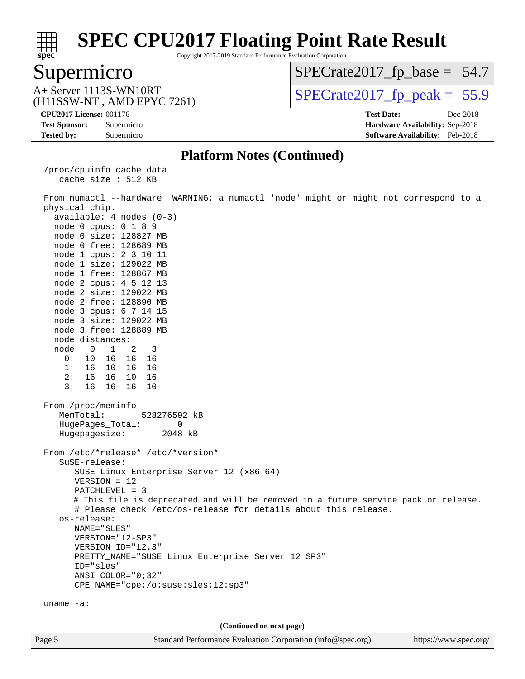

Copyright 2017-2019 Standard Performance Evaluation Corporation

### Supermicro

 $SPECTate2017_fp\_base = 54.7$ 

(H11SSW-NT , AMD EPYC 7261)

 $A+$  Server 1113S-WN10RT  $\begin{array}{c|c}\n\text{SPECrate2017\_fp\_peak} = 55.9\n\end{array}$ 

**[Tested by:](http://www.spec.org/auto/cpu2017/Docs/result-fields.html#Testedby)** Supermicro **[Software Availability:](http://www.spec.org/auto/cpu2017/Docs/result-fields.html#SoftwareAvailability)** Feb-2018

**[CPU2017 License:](http://www.spec.org/auto/cpu2017/Docs/result-fields.html#CPU2017License)** 001176 **[Test Date:](http://www.spec.org/auto/cpu2017/Docs/result-fields.html#TestDate)** Dec-2018 **[Test Sponsor:](http://www.spec.org/auto/cpu2017/Docs/result-fields.html#TestSponsor)** Supermicro **[Hardware Availability:](http://www.spec.org/auto/cpu2017/Docs/result-fields.html#HardwareAvailability)** Sep-2018

#### **[Platform Notes \(Continued\)](http://www.spec.org/auto/cpu2017/Docs/result-fields.html#PlatformNotes)**

 /proc/cpuinfo cache data cache size : 512 KB

Page 5 Standard Performance Evaluation Corporation [\(info@spec.org\)](mailto:info@spec.org) <https://www.spec.org/> From numactl --hardware WARNING: a numactl 'node' might or might not correspond to a physical chip. available: 4 nodes (0-3) node 0 cpus: 0 1 8 9 node 0 size: 128827 MB node 0 free: 128689 MB node 1 cpus: 2 3 10 11 node 1 size: 129022 MB node 1 free: 128867 MB node 2 cpus: 4 5 12 13 node 2 size: 129022 MB node 2 free: 128890 MB node 3 cpus: 6 7 14 15 node 3 size: 129022 MB node 3 free: 128889 MB node distances: node 0 1 2 3 0: 10 16 16 16 1: 16 10 16 16 2: 16 16 10 16 3: 16 16 16 10 From /proc/meminfo MemTotal: 528276592 kB HugePages\_Total: 0 Hugepagesize: 2048 kB From /etc/\*release\* /etc/\*version\* SuSE-release: SUSE Linux Enterprise Server 12 (x86\_64) VERSION = 12 PATCHLEVEL = 3 # This file is deprecated and will be removed in a future service pack or release. # Please check /etc/os-release for details about this release. os-release: NAME="SLES" VERSION="12-SP3" VERSION\_ID="12.3" PRETTY\_NAME="SUSE Linux Enterprise Server 12 SP3" ID="sles" ANSI\_COLOR="0;32" CPE\_NAME="cpe:/o:suse:sles:12:sp3" uname -a: **(Continued on next page)**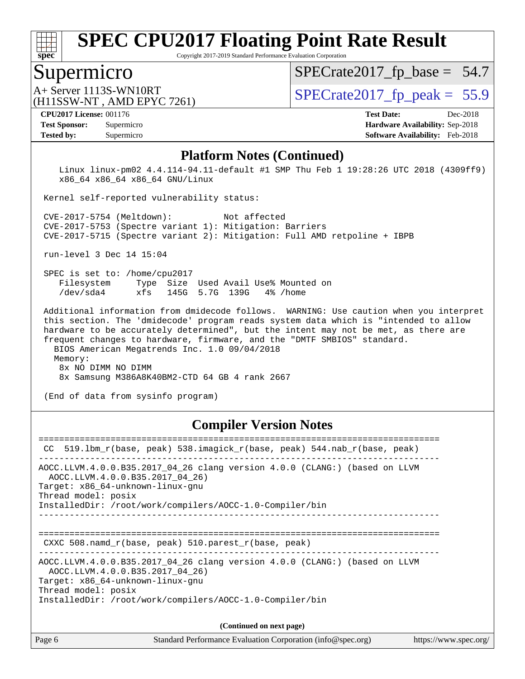

Copyright 2017-2019 Standard Performance Evaluation Corporation

### Supermicro

 $SPECTate2017_fp\_base = 54.7$ 

(H11SSW-NT , AMD EPYC 7261)

 $A+$  Server 1113S-WN10RT  $\begin{array}{c|c}\n\text{SPECrate2017\_fp\_peak} = 55.9\n\end{array}$ 

#### **[CPU2017 License:](http://www.spec.org/auto/cpu2017/Docs/result-fields.html#CPU2017License)** 001176 **[Test Date:](http://www.spec.org/auto/cpu2017/Docs/result-fields.html#TestDate)** Dec-2018

**[Tested by:](http://www.spec.org/auto/cpu2017/Docs/result-fields.html#Testedby)** Supermicro **[Software Availability:](http://www.spec.org/auto/cpu2017/Docs/result-fields.html#SoftwareAvailability)** Feb-2018

**[Test Sponsor:](http://www.spec.org/auto/cpu2017/Docs/result-fields.html#TestSponsor)** Supermicro **[Hardware Availability:](http://www.spec.org/auto/cpu2017/Docs/result-fields.html#HardwareAvailability)** Sep-2018

#### **[Platform Notes \(Continued\)](http://www.spec.org/auto/cpu2017/Docs/result-fields.html#PlatformNotes)**

 Linux linux-pm02 4.4.114-94.11-default #1 SMP Thu Feb 1 19:28:26 UTC 2018 (4309ff9) x86\_64 x86\_64 x86\_64 GNU/Linux

Kernel self-reported vulnerability status:

 CVE-2017-5754 (Meltdown): Not affected CVE-2017-5753 (Spectre variant 1): Mitigation: Barriers CVE-2017-5715 (Spectre variant 2): Mitigation: Full AMD retpoline + IBPB

run-level 3 Dec 14 15:04

 SPEC is set to: /home/cpu2017 Filesystem Type Size Used Avail Use% Mounted on /dev/sda4 xfs 145G 5.7G 139G 4% /home

 Additional information from dmidecode follows. WARNING: Use caution when you interpret this section. The 'dmidecode' program reads system data which is "intended to allow hardware to be accurately determined", but the intent may not be met, as there are frequent changes to hardware, firmware, and the "DMTF SMBIOS" standard.

BIOS American Megatrends Inc. 1.0 09/04/2018

 Memory: 8x NO DIMM NO DIMM 8x Samsung M386A8K40BM2-CTD 64 GB 4 rank 2667

(End of data from sysinfo program)

#### **[Compiler Version Notes](http://www.spec.org/auto/cpu2017/Docs/result-fields.html#CompilerVersionNotes)**

| CC.    | 519.1bm_r(base, peak) 538.imagick_r(base, peak) 544.nab_r(base, peak)                                                                                                                                                                |
|--------|--------------------------------------------------------------------------------------------------------------------------------------------------------------------------------------------------------------------------------------|
|        | AOCC.LLVM.4.0.0.B35.2017 04 26 clang version 4.0.0 (CLANG:) (based on LLVM<br>AOCC.LLVM.4.0.0.B35.2017 04 26)<br>Target: x86 64-unknown-linux-gnu<br>Thread model: posix<br>InstalledDir: /root/work/compilers/AOCC-1.0-Compiler/bin |
|        | CXXC $508.namd_r(base, peak) 510.parest_r(base, peak)$                                                                                                                                                                               |
|        | AOCC.LLVM.4.0.0.B35.2017_04_26 clang version 4.0.0 (CLANG:) (based on LLVM<br>AOCC.LLVM.4.0.0.B35.2017 04 26)<br>Target: x86 64-unknown-linux-gnu<br>Thread model: posix<br>InstalledDir: /root/work/compilers/AOCC-1.0-Compiler/bin |
|        | (Continued on next page)                                                                                                                                                                                                             |
| Page 6 | Standard Performance Evaluation Corporation (info@spec.org)<br>https://www.spec.org/                                                                                                                                                 |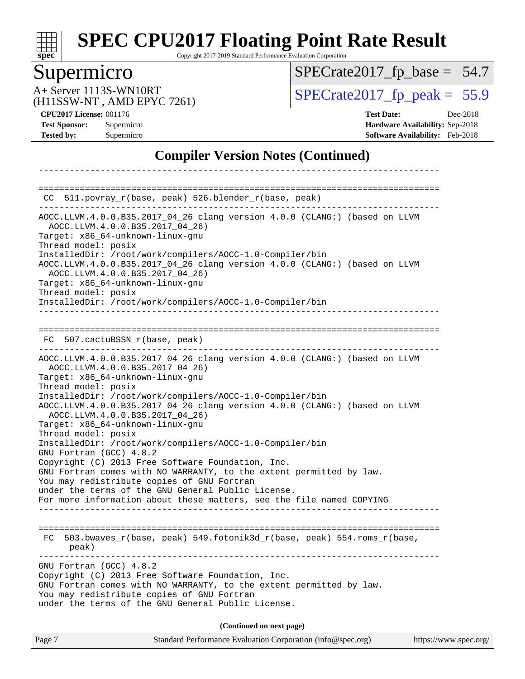

Copyright 2017-2019 Standard Performance Evaluation Corporation

# Supermicro

[SPECrate2017\\_fp\\_base =](http://www.spec.org/auto/cpu2017/Docs/result-fields.html#SPECrate2017fpbase) 54.7

(H11SSW-NT , AMD EPYC 7261)

A+ Server 1113S-WN10RT<br>
(H11SSW-NT AMD EPYC 7261) [SPECrate2017\\_fp\\_peak =](http://www.spec.org/auto/cpu2017/Docs/result-fields.html#SPECrate2017fppeak) 55.9

**[CPU2017 License:](http://www.spec.org/auto/cpu2017/Docs/result-fields.html#CPU2017License)** 001176 **[Test Date:](http://www.spec.org/auto/cpu2017/Docs/result-fields.html#TestDate)** Dec-2018 **[Test Sponsor:](http://www.spec.org/auto/cpu2017/Docs/result-fields.html#TestSponsor)** Supermicro **[Hardware Availability:](http://www.spec.org/auto/cpu2017/Docs/result-fields.html#HardwareAvailability)** Sep-2018 **[Tested by:](http://www.spec.org/auto/cpu2017/Docs/result-fields.html#Testedby)** Supermicro **[Software Availability:](http://www.spec.org/auto/cpu2017/Docs/result-fields.html#SoftwareAvailability)** Feb-2018

### **[Compiler Version Notes \(Continued\)](http://www.spec.org/auto/cpu2017/Docs/result-fields.html#CompilerVersionNotes)**

| CC 511.povray_r(base, peak) 526.blender_r(base, peak)                                                                                                                                                                                                                                                                                                                                                                                                                                                                                                                                                                                                                                                                                                                                                                                                 |  |
|-------------------------------------------------------------------------------------------------------------------------------------------------------------------------------------------------------------------------------------------------------------------------------------------------------------------------------------------------------------------------------------------------------------------------------------------------------------------------------------------------------------------------------------------------------------------------------------------------------------------------------------------------------------------------------------------------------------------------------------------------------------------------------------------------------------------------------------------------------|--|
| AOCC.LLVM.4.0.0.B35.2017_04_26 clang version 4.0.0 (CLANG:) (based on LLVM<br>AOCC.LLVM.4.0.0.B35.2017 04 26)<br>Target: x86_64-unknown-linux-gnu<br>Thread model: posix<br>InstalledDir: /root/work/compilers/AOCC-1.0-Compiler/bin<br>AOCC.LLVM.4.0.0.B35.2017_04_26 clang version 4.0.0 (CLANG:) (based on LLVM<br>AOCC.LLVM.4.0.0.B35.2017 04 26)<br>Target: x86_64-unknown-linux-gnu<br>Thread model: posix<br>InstalledDir: /root/work/compilers/AOCC-1.0-Compiler/bin                                                                                                                                                                                                                                                                                                                                                                          |  |
| FC 507.cactuBSSN r(base, peak)                                                                                                                                                                                                                                                                                                                                                                                                                                                                                                                                                                                                                                                                                                                                                                                                                        |  |
| AOCC.LLVM.4.0.0.B35.2017_04_26 clang version 4.0.0 (CLANG:) (based on LLVM<br>AOCC.LLVM.4.0.0.B35.2017 04 26)<br>Target: x86_64-unknown-linux-gnu<br>Thread model: posix<br>InstalledDir: /root/work/compilers/AOCC-1.0-Compiler/bin<br>AOCC.LLVM.4.0.0.B35.2017_04_26 clang version 4.0.0 (CLANG:) (based on LLVM<br>AOCC.LLVM.4.0.0.B35.2017_04_26)<br>Target: x86_64-unknown-linux-gnu<br>Thread model: posix<br>InstalledDir: /root/work/compilers/AOCC-1.0-Compiler/bin<br>GNU Fortran (GCC) 4.8.2<br>Copyright (C) 2013 Free Software Foundation, Inc.<br>GNU Fortran comes with NO WARRANTY, to the extent permitted by law.<br>You may redistribute copies of GNU Fortran<br>under the terms of the GNU General Public License.<br>For more information about these matters, see the file named COPYING<br>__________________________________ |  |
| 503.bwaves_r(base, peak) 549.fotonik3d_r(base, peak) 554.roms_r(base,<br>FC.<br>peak)                                                                                                                                                                                                                                                                                                                                                                                                                                                                                                                                                                                                                                                                                                                                                                 |  |
| GNU Fortran (GCC) 4.8.2<br>Copyright (C) 2013 Free Software Foundation, Inc.<br>GNU Fortran comes with NO WARRANTY, to the extent permitted by law.<br>You may redistribute copies of GNU Fortran<br>under the terms of the GNU General Public License.                                                                                                                                                                                                                                                                                                                                                                                                                                                                                                                                                                                               |  |
| (Continued on next page)                                                                                                                                                                                                                                                                                                                                                                                                                                                                                                                                                                                                                                                                                                                                                                                                                              |  |
| Standard Performance Evaluation Corporation (info@spec.org)<br>Page 7<br>https://www.spec.org/                                                                                                                                                                                                                                                                                                                                                                                                                                                                                                                                                                                                                                                                                                                                                        |  |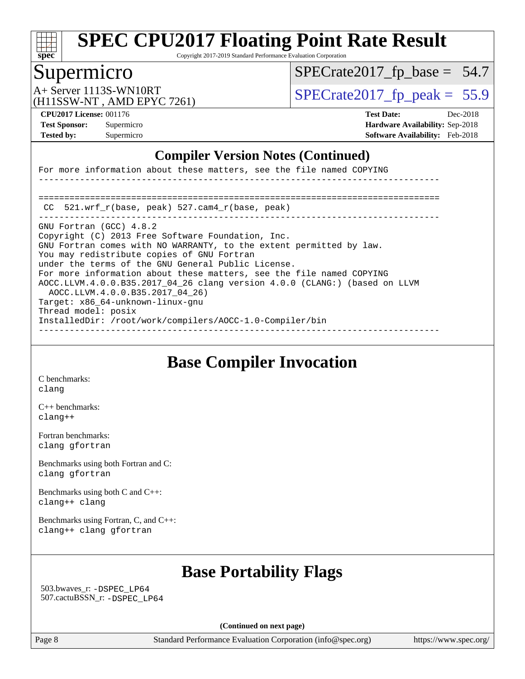

Copyright 2017-2019 Standard Performance Evaluation Corporation

# Supermicro

 $SPECTate2017_fp\_base = 54.7$ 

(H11SSW-NT , AMD EPYC 7261)

A+ Server 1113S-WN10RT  $SPECTate 2017$  fp\_peak = 55.9

**[Test Sponsor:](http://www.spec.org/auto/cpu2017/Docs/result-fields.html#TestSponsor)** Supermicro **[Hardware Availability:](http://www.spec.org/auto/cpu2017/Docs/result-fields.html#HardwareAvailability)** Sep-2018 **[Tested by:](http://www.spec.org/auto/cpu2017/Docs/result-fields.html#Testedby)** Supermicro **[Software Availability:](http://www.spec.org/auto/cpu2017/Docs/result-fields.html#SoftwareAvailability)** Feb-2018

**[CPU2017 License:](http://www.spec.org/auto/cpu2017/Docs/result-fields.html#CPU2017License)** 001176 **[Test Date:](http://www.spec.org/auto/cpu2017/Docs/result-fields.html#TestDate)** Dec-2018

### **[Compiler Version Notes \(Continued\)](http://www.spec.org/auto/cpu2017/Docs/result-fields.html#CompilerVersionNotes)**

For more information about these matters, see the file named COPYING ------------------------------------------------------------------------------ ============================================================================== CC 521.wrf\_r(base, peak) 527.cam4\_r(base, peak) ------------------------------------------------------------------------------ GNU Fortran (GCC) 4.8.2 Copyright (C) 2013 Free Software Foundation, Inc. GNU Fortran comes with NO WARRANTY, to the extent permitted by law. You may redistribute copies of GNU Fortran under the terms of the GNU General Public License. For more information about these matters, see the file named COPYING AOCC.LLVM.4.0.0.B35.2017\_04\_26 clang version 4.0.0 (CLANG:) (based on LLVM AOCC.LLVM.4.0.0.B35.2017\_04\_26) Target: x86\_64-unknown-linux-gnu Thread model: posix InstalledDir: /root/work/compilers/AOCC-1.0-Compiler/bin ------------------------------------------------------------------------------

**[Base Compiler Invocation](http://www.spec.org/auto/cpu2017/Docs/result-fields.html#BaseCompilerInvocation)**

[C benchmarks](http://www.spec.org/auto/cpu2017/Docs/result-fields.html#Cbenchmarks): [clang](http://www.spec.org/cpu2017/results/res2019q1/cpu2017-20181224-10345.flags.html#user_CCbase_Fclang3_a68b77bfed473bd9cdd22529af008e8306c2e3948617c8991604c1a2000ee4a73ef90dd8bc793e105fe4165a625d26dacbda4708d828ad19048918c071b363ec)

[C++ benchmarks:](http://www.spec.org/auto/cpu2017/Docs/result-fields.html#CXXbenchmarks) [clang++](http://www.spec.org/cpu2017/results/res2019q1/cpu2017-20181224-10345.flags.html#user_CXXbase_Fclang3_57a48582e5be507d19b2527b3e7d4f85d9b8669ffc9a8a0dbb9bcf949a918a58bbab411e0c4d14a3922022a3e425a90db94042683824c1806feff4324ca1000d)

[Fortran benchmarks](http://www.spec.org/auto/cpu2017/Docs/result-fields.html#Fortranbenchmarks): [clang](http://www.spec.org/cpu2017/results/res2019q1/cpu2017-20181224-10345.flags.html#user_FCbase_Fclang3_a68b77bfed473bd9cdd22529af008e8306c2e3948617c8991604c1a2000ee4a73ef90dd8bc793e105fe4165a625d26dacbda4708d828ad19048918c071b363ec) [gfortran](http://www.spec.org/cpu2017/results/res2019q1/cpu2017-20181224-10345.flags.html#user_FCbase_aocc-gfortran_128c91a56d61ddb07404721e65b8f9498c31a443dacbd3b7f212891090eca86e2d099b520f75b99e9e8ac4fdec01f4d15f0b65e47123ec4c42b0759045731a1f)

[Benchmarks using both Fortran and C](http://www.spec.org/auto/cpu2017/Docs/result-fields.html#BenchmarksusingbothFortranandC): [clang](http://www.spec.org/cpu2017/results/res2019q1/cpu2017-20181224-10345.flags.html#user_CC_FCbase_Fclang3_a68b77bfed473bd9cdd22529af008e8306c2e3948617c8991604c1a2000ee4a73ef90dd8bc793e105fe4165a625d26dacbda4708d828ad19048918c071b363ec) [gfortran](http://www.spec.org/cpu2017/results/res2019q1/cpu2017-20181224-10345.flags.html#user_CC_FCbase_aocc-gfortran_128c91a56d61ddb07404721e65b8f9498c31a443dacbd3b7f212891090eca86e2d099b520f75b99e9e8ac4fdec01f4d15f0b65e47123ec4c42b0759045731a1f)

[Benchmarks using both C and C++](http://www.spec.org/auto/cpu2017/Docs/result-fields.html#BenchmarksusingbothCandCXX): [clang++](http://www.spec.org/cpu2017/results/res2019q1/cpu2017-20181224-10345.flags.html#user_CC_CXXbase_Fclang3_57a48582e5be507d19b2527b3e7d4f85d9b8669ffc9a8a0dbb9bcf949a918a58bbab411e0c4d14a3922022a3e425a90db94042683824c1806feff4324ca1000d) [clang](http://www.spec.org/cpu2017/results/res2019q1/cpu2017-20181224-10345.flags.html#user_CC_CXXbase_Fclang3_a68b77bfed473bd9cdd22529af008e8306c2e3948617c8991604c1a2000ee4a73ef90dd8bc793e105fe4165a625d26dacbda4708d828ad19048918c071b363ec)

[Benchmarks using Fortran, C, and C++:](http://www.spec.org/auto/cpu2017/Docs/result-fields.html#BenchmarksusingFortranCandCXX) [clang++](http://www.spec.org/cpu2017/results/res2019q1/cpu2017-20181224-10345.flags.html#user_CC_CXX_FCbase_Fclang3_57a48582e5be507d19b2527b3e7d4f85d9b8669ffc9a8a0dbb9bcf949a918a58bbab411e0c4d14a3922022a3e425a90db94042683824c1806feff4324ca1000d) [clang](http://www.spec.org/cpu2017/results/res2019q1/cpu2017-20181224-10345.flags.html#user_CC_CXX_FCbase_Fclang3_a68b77bfed473bd9cdd22529af008e8306c2e3948617c8991604c1a2000ee4a73ef90dd8bc793e105fe4165a625d26dacbda4708d828ad19048918c071b363ec) [gfortran](http://www.spec.org/cpu2017/results/res2019q1/cpu2017-20181224-10345.flags.html#user_CC_CXX_FCbase_aocc-gfortran_128c91a56d61ddb07404721e65b8f9498c31a443dacbd3b7f212891090eca86e2d099b520f75b99e9e8ac4fdec01f4d15f0b65e47123ec4c42b0759045731a1f)

# **[Base Portability Flags](http://www.spec.org/auto/cpu2017/Docs/result-fields.html#BasePortabilityFlags)**

 503.bwaves\_r: [-DSPEC\\_LP64](http://www.spec.org/cpu2017/results/res2019q1/cpu2017-20181224-10345.flags.html#suite_baseEXTRA_PORTABILITY503_bwaves_r_DSPEC_LP64) 507.cactuBSSN\_r: [-DSPEC\\_LP64](http://www.spec.org/cpu2017/results/res2019q1/cpu2017-20181224-10345.flags.html#suite_baseEXTRA_PORTABILITY507_cactuBSSN_r_DSPEC_LP64)

**(Continued on next page)**

Page 8 Standard Performance Evaluation Corporation [\(info@spec.org\)](mailto:info@spec.org) <https://www.spec.org/>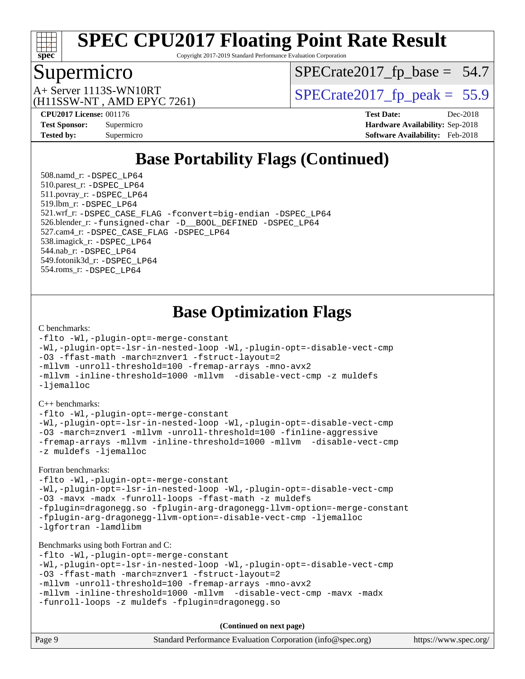

Copyright 2017-2019 Standard Performance Evaluation Corporation

### Supermicro

[SPECrate2017\\_fp\\_base =](http://www.spec.org/auto/cpu2017/Docs/result-fields.html#SPECrate2017fpbase) 54.7

(H11SSW-NT , AMD EPYC 7261)

A+ Server 1113S-WN10RT<br>
(H11SSW-NT, AMD EPYC 7261) [SPECrate2017\\_fp\\_peak =](http://www.spec.org/auto/cpu2017/Docs/result-fields.html#SPECrate2017fppeak) 55.9

**[CPU2017 License:](http://www.spec.org/auto/cpu2017/Docs/result-fields.html#CPU2017License)** 001176 **[Test Date:](http://www.spec.org/auto/cpu2017/Docs/result-fields.html#TestDate)** Dec-2018 **[Test Sponsor:](http://www.spec.org/auto/cpu2017/Docs/result-fields.html#TestSponsor)** Supermicro **[Hardware Availability:](http://www.spec.org/auto/cpu2017/Docs/result-fields.html#HardwareAvailability)** Sep-2018 **[Tested by:](http://www.spec.org/auto/cpu2017/Docs/result-fields.html#Testedby)** Supermicro **[Software Availability:](http://www.spec.org/auto/cpu2017/Docs/result-fields.html#SoftwareAvailability)** Feb-2018

# **[Base Portability Flags \(Continued\)](http://www.spec.org/auto/cpu2017/Docs/result-fields.html#BasePortabilityFlags)**

 508.namd\_r: [-DSPEC\\_LP64](http://www.spec.org/cpu2017/results/res2019q1/cpu2017-20181224-10345.flags.html#suite_baseEXTRA_PORTABILITY508_namd_r_DSPEC_LP64) 510.parest\_r: [-DSPEC\\_LP64](http://www.spec.org/cpu2017/results/res2019q1/cpu2017-20181224-10345.flags.html#suite_baseEXTRA_PORTABILITY510_parest_r_DSPEC_LP64) 511.povray\_r: [-DSPEC\\_LP64](http://www.spec.org/cpu2017/results/res2019q1/cpu2017-20181224-10345.flags.html#suite_baseEXTRA_PORTABILITY511_povray_r_DSPEC_LP64) 519.lbm\_r: [-DSPEC\\_LP64](http://www.spec.org/cpu2017/results/res2019q1/cpu2017-20181224-10345.flags.html#suite_baseEXTRA_PORTABILITY519_lbm_r_DSPEC_LP64) 521.wrf\_r: [-DSPEC\\_CASE\\_FLAG](http://www.spec.org/cpu2017/results/res2019q1/cpu2017-20181224-10345.flags.html#b521.wrf_r_baseCPORTABILITY_DSPEC_CASE_FLAG) [-fconvert=big-endian](http://www.spec.org/cpu2017/results/res2019q1/cpu2017-20181224-10345.flags.html#user_baseFPORTABILITY521_wrf_r_F-fconvert) [-DSPEC\\_LP64](http://www.spec.org/cpu2017/results/res2019q1/cpu2017-20181224-10345.flags.html#suite_baseEXTRA_PORTABILITY521_wrf_r_DSPEC_LP64) 526.blender\_r: [-funsigned-char](http://www.spec.org/cpu2017/results/res2019q1/cpu2017-20181224-10345.flags.html#user_baseCPORTABILITY526_blender_r_F-funsigned-char) [-D\\_\\_BOOL\\_DEFINED](http://www.spec.org/cpu2017/results/res2019q1/cpu2017-20181224-10345.flags.html#b526.blender_r_baseCXXPORTABILITY_D__BOOL_DEFINED) [-DSPEC\\_LP64](http://www.spec.org/cpu2017/results/res2019q1/cpu2017-20181224-10345.flags.html#suite_baseEXTRA_PORTABILITY526_blender_r_DSPEC_LP64) 527.cam4\_r: [-DSPEC\\_CASE\\_FLAG](http://www.spec.org/cpu2017/results/res2019q1/cpu2017-20181224-10345.flags.html#b527.cam4_r_basePORTABILITY_DSPEC_CASE_FLAG) [-DSPEC\\_LP64](http://www.spec.org/cpu2017/results/res2019q1/cpu2017-20181224-10345.flags.html#suite_baseEXTRA_PORTABILITY527_cam4_r_DSPEC_LP64) 538.imagick\_r: [-DSPEC\\_LP64](http://www.spec.org/cpu2017/results/res2019q1/cpu2017-20181224-10345.flags.html#suite_baseEXTRA_PORTABILITY538_imagick_r_DSPEC_LP64) 544.nab\_r: [-DSPEC\\_LP64](http://www.spec.org/cpu2017/results/res2019q1/cpu2017-20181224-10345.flags.html#suite_baseEXTRA_PORTABILITY544_nab_r_DSPEC_LP64) 549.fotonik3d\_r: [-DSPEC\\_LP64](http://www.spec.org/cpu2017/results/res2019q1/cpu2017-20181224-10345.flags.html#suite_baseEXTRA_PORTABILITY549_fotonik3d_r_DSPEC_LP64) 554.roms\_r: [-DSPEC\\_LP64](http://www.spec.org/cpu2017/results/res2019q1/cpu2017-20181224-10345.flags.html#suite_baseEXTRA_PORTABILITY554_roms_r_DSPEC_LP64)

**[Base Optimization Flags](http://www.spec.org/auto/cpu2017/Docs/result-fields.html#BaseOptimizationFlags)**

#### [C benchmarks](http://www.spec.org/auto/cpu2017/Docs/result-fields.html#Cbenchmarks):

```
-flto -Wl,-plugin-opt=-merge-constant
-Wl,-plugin-opt=-lsr-in-nested-loop -Wl,-plugin-opt=-disable-vect-cmp
-O3 -ffast-math -march=znver1 -fstruct-layout=2
-mllvm -unroll-threshold=100 -fremap-arrays -mno-avx2
-mllvm -inline-threshold=1000 -mllvm -disable-vect-cmp -z muldefs
-ljemalloc
```
[C++ benchmarks:](http://www.spec.org/auto/cpu2017/Docs/result-fields.html#CXXbenchmarks)

[-flto](http://www.spec.org/cpu2017/results/res2019q1/cpu2017-20181224-10345.flags.html#user_CXXbase_lto) [-Wl,-plugin-opt=-merge-constant](http://www.spec.org/cpu2017/results/res2019q1/cpu2017-20181224-10345.flags.html#user_CXXbase_F-merge-constant_1d79771b5442061d9c8e05556c6b0c655e6c9e66f8c6936b0129d434b6acd2b1cf1b7cd2540d1570ff636111b08a6bc36e2e61fc34531f8ef7c1a34c57be1dbb) [-Wl,-plugin-opt=-lsr-in-nested-loop](http://www.spec.org/cpu2017/results/res2019q1/cpu2017-20181224-10345.flags.html#user_CXXbase_lsr-in-nested-loop_1cff93fd95162f5e77640b5271e8bed680fb62b4a8d96fb8ab217ff3244646f1fbb342e31af83c263403bbf5249c7dc7732d5c86c3eab4cc8d32dcb7a6f33ca0) [-Wl,-plugin-opt=-disable-vect-cmp](http://www.spec.org/cpu2017/results/res2019q1/cpu2017-20181224-10345.flags.html#user_CXXbase_disable-vect-cmp_1056b9a09b8ddc126e023b5f99ae33179ef568835465af9b7adeacf4b6480ff575c8aee439265bcfbcbf086f33f2fa5cca2bc4cf52b64c0cd2e10f6503cba02d) [-O3](http://www.spec.org/cpu2017/results/res2019q1/cpu2017-20181224-10345.flags.html#user_CXXbase_F-O3) [-march=znver1](http://www.spec.org/cpu2017/results/res2019q1/cpu2017-20181224-10345.flags.html#user_CXXbase_F-march) [-mllvm -unroll-threshold=100](http://www.spec.org/cpu2017/results/res2019q1/cpu2017-20181224-10345.flags.html#user_CXXbase_F-unroll-threshold_2755d0c78138845d361fa1543e3a063fffa198df9b3edf0cfb856bbc88a81e1769b12ac7a550c5d35197be55360db1a3f95a8d1304df999456cabf5120c45168) [-finline-aggressive](http://www.spec.org/cpu2017/results/res2019q1/cpu2017-20181224-10345.flags.html#user_CXXbase_F-finline-aggressive) [-fremap-arrays](http://www.spec.org/cpu2017/results/res2019q1/cpu2017-20181224-10345.flags.html#user_CXXbase_F-fremap-arrays) [-mllvm -inline-threshold=1000](http://www.spec.org/cpu2017/results/res2019q1/cpu2017-20181224-10345.flags.html#user_CXXbase_inline-threshold_b7832241b0a6397e4ecdbaf0eb7defdc10f885c2a282fa3240fdc99844d543fda39cf8a4a9dccf68cf19b5438ac3b455264f478df15da0f4988afa40d8243bab) [-mllvm -disable-vect-cmp](http://www.spec.org/cpu2017/results/res2019q1/cpu2017-20181224-10345.flags.html#user_CXXbase_disable-vect-cmp_d995c9eb800469498c6893dc847c54c903d59847b18cb2ac22011b9af7010c96d2d48d3c6b41246fe86945001509aa4dc528afb61cb238fd3b256a31781ea0cf) [-z muldefs](http://www.spec.org/cpu2017/results/res2019q1/cpu2017-20181224-10345.flags.html#user_CXXbase_F-z-muldefs) [-ljemalloc](http://www.spec.org/cpu2017/results/res2019q1/cpu2017-20181224-10345.flags.html#user_CXXbase_jemalloc-lib_d1249b907c500fa1c0672f44f562e3d0f79738ae9e3c4a9c376d49f265a04b9c99b167ecedbf6711b3085be911c67ff61f150a17b3472be731631ba4d0471706)

[Fortran benchmarks](http://www.spec.org/auto/cpu2017/Docs/result-fields.html#Fortranbenchmarks):

[-flto](http://www.spec.org/cpu2017/results/res2019q1/cpu2017-20181224-10345.flags.html#user_FCbase_lto) [-Wl,-plugin-opt=-merge-constant](http://www.spec.org/cpu2017/results/res2019q1/cpu2017-20181224-10345.flags.html#user_FCbase_F-merge-constant_1d79771b5442061d9c8e05556c6b0c655e6c9e66f8c6936b0129d434b6acd2b1cf1b7cd2540d1570ff636111b08a6bc36e2e61fc34531f8ef7c1a34c57be1dbb) [-Wl,-plugin-opt=-lsr-in-nested-loop](http://www.spec.org/cpu2017/results/res2019q1/cpu2017-20181224-10345.flags.html#user_FCbase_lsr-in-nested-loop_1cff93fd95162f5e77640b5271e8bed680fb62b4a8d96fb8ab217ff3244646f1fbb342e31af83c263403bbf5249c7dc7732d5c86c3eab4cc8d32dcb7a6f33ca0) [-Wl,-plugin-opt=-disable-vect-cmp](http://www.spec.org/cpu2017/results/res2019q1/cpu2017-20181224-10345.flags.html#user_FCbase_disable-vect-cmp_1056b9a09b8ddc126e023b5f99ae33179ef568835465af9b7adeacf4b6480ff575c8aee439265bcfbcbf086f33f2fa5cca2bc4cf52b64c0cd2e10f6503cba02d) [-O3](http://www.spec.org/cpu2017/results/res2019q1/cpu2017-20181224-10345.flags.html#user_FCbase_F-O3) [-mavx](http://www.spec.org/cpu2017/results/res2019q1/cpu2017-20181224-10345.flags.html#user_FCbase_F-mavx) [-madx](http://www.spec.org/cpu2017/results/res2019q1/cpu2017-20181224-10345.flags.html#user_FCbase_F-madx) [-funroll-loops](http://www.spec.org/cpu2017/results/res2019q1/cpu2017-20181224-10345.flags.html#user_FCbase_aocc-funroll-loops) [-ffast-math](http://www.spec.org/cpu2017/results/res2019q1/cpu2017-20181224-10345.flags.html#user_FCbase_F-aocc-ffast-math_78dd175de6534c2005829757b9b0f2878e57b067cce6f7c443b2250ac68890960e2e1b320ca04b81ff7c62c6f87870ed05f06baf7875eea2990d38e3b73c71f1) [-z muldefs](http://www.spec.org/cpu2017/results/res2019q1/cpu2017-20181224-10345.flags.html#user_FCbase_F-z-muldefs) [-fplugin=dragonegg.so](http://www.spec.org/cpu2017/results/res2019q1/cpu2017-20181224-10345.flags.html#user_FCbase_F-fpluginDragonEgg) [-fplugin-arg-dragonegg-llvm-option=-merge-constant](http://www.spec.org/cpu2017/results/res2019q1/cpu2017-20181224-10345.flags.html#user_FCbase_F-merge-constant_37fd66d07a4fbae8f1b816e843c3ed1ebaa48f794b65ea8be746a1880566a3d23eba4a3c37b5c024650311adcf9247c62af28144803b3729b14be14423fa5142) [-fplugin-arg-dragonegg-llvm-option=-disable-vect-cmp](http://www.spec.org/cpu2017/results/res2019q1/cpu2017-20181224-10345.flags.html#user_FCbase_disable-vect-cmp_d119dd6f96524d64dc477d5e6a72268aebe046b42f767098038bf7530fc0cc546dd329b2376104fde185baca14f7365ef86ccd3ff602b57a7839de005478f594) [-ljemalloc](http://www.spec.org/cpu2017/results/res2019q1/cpu2017-20181224-10345.flags.html#user_FCbase_jemalloc-lib_d1249b907c500fa1c0672f44f562e3d0f79738ae9e3c4a9c376d49f265a04b9c99b167ecedbf6711b3085be911c67ff61f150a17b3472be731631ba4d0471706) [-lgfortran](http://www.spec.org/cpu2017/results/res2019q1/cpu2017-20181224-10345.flags.html#user_FCbase_F-lgfortran) [-lamdlibm](http://www.spec.org/cpu2017/results/res2019q1/cpu2017-20181224-10345.flags.html#user_FCbase_F-lamdlibm)

[Benchmarks using both Fortran and C](http://www.spec.org/auto/cpu2017/Docs/result-fields.html#BenchmarksusingbothFortranandC):

[-flto](http://www.spec.org/cpu2017/results/res2019q1/cpu2017-20181224-10345.flags.html#user_CC_FCbase_lto) [-Wl,-plugin-opt=-merge-constant](http://www.spec.org/cpu2017/results/res2019q1/cpu2017-20181224-10345.flags.html#user_CC_FCbase_F-merge-constant_1d79771b5442061d9c8e05556c6b0c655e6c9e66f8c6936b0129d434b6acd2b1cf1b7cd2540d1570ff636111b08a6bc36e2e61fc34531f8ef7c1a34c57be1dbb) [-Wl,-plugin-opt=-lsr-in-nested-loop](http://www.spec.org/cpu2017/results/res2019q1/cpu2017-20181224-10345.flags.html#user_CC_FCbase_lsr-in-nested-loop_1cff93fd95162f5e77640b5271e8bed680fb62b4a8d96fb8ab217ff3244646f1fbb342e31af83c263403bbf5249c7dc7732d5c86c3eab4cc8d32dcb7a6f33ca0) [-Wl,-plugin-opt=-disable-vect-cmp](http://www.spec.org/cpu2017/results/res2019q1/cpu2017-20181224-10345.flags.html#user_CC_FCbase_disable-vect-cmp_1056b9a09b8ddc126e023b5f99ae33179ef568835465af9b7adeacf4b6480ff575c8aee439265bcfbcbf086f33f2fa5cca2bc4cf52b64c0cd2e10f6503cba02d) [-O3](http://www.spec.org/cpu2017/results/res2019q1/cpu2017-20181224-10345.flags.html#user_CC_FCbase_F-O3) [-ffast-math](http://www.spec.org/cpu2017/results/res2019q1/cpu2017-20181224-10345.flags.html#user_CC_FCbase_F-aocc-ffast-math_78dd175de6534c2005829757b9b0f2878e57b067cce6f7c443b2250ac68890960e2e1b320ca04b81ff7c62c6f87870ed05f06baf7875eea2990d38e3b73c71f1) [-march=znver1](http://www.spec.org/cpu2017/results/res2019q1/cpu2017-20181224-10345.flags.html#user_CC_FCbase_F-march) [-fstruct-layout=2](http://www.spec.org/cpu2017/results/res2019q1/cpu2017-20181224-10345.flags.html#user_CC_FCbase_F-fstruct-layout_a05ec02e17cdf7fe0c3950a6b005251b2b1e5e67af2b5298cf72714730c3d59ba290e75546b10aa22dac074c15ceaca36ae22c62cb51bcb2fbdc9dc4e7e222c4) [-mllvm -unroll-threshold=100](http://www.spec.org/cpu2017/results/res2019q1/cpu2017-20181224-10345.flags.html#user_CC_FCbase_F-unroll-threshold_2755d0c78138845d361fa1543e3a063fffa198df9b3edf0cfb856bbc88a81e1769b12ac7a550c5d35197be55360db1a3f95a8d1304df999456cabf5120c45168) [-fremap-arrays](http://www.spec.org/cpu2017/results/res2019q1/cpu2017-20181224-10345.flags.html#user_CC_FCbase_F-fremap-arrays) [-mno-avx2](http://www.spec.org/cpu2017/results/res2019q1/cpu2017-20181224-10345.flags.html#user_CC_FCbase_F-mno-avx2) [-mllvm -inline-threshold=1000](http://www.spec.org/cpu2017/results/res2019q1/cpu2017-20181224-10345.flags.html#user_CC_FCbase_inline-threshold_b7832241b0a6397e4ecdbaf0eb7defdc10f885c2a282fa3240fdc99844d543fda39cf8a4a9dccf68cf19b5438ac3b455264f478df15da0f4988afa40d8243bab) [-mllvm -disable-vect-cmp](http://www.spec.org/cpu2017/results/res2019q1/cpu2017-20181224-10345.flags.html#user_CC_FCbase_disable-vect-cmp_d995c9eb800469498c6893dc847c54c903d59847b18cb2ac22011b9af7010c96d2d48d3c6b41246fe86945001509aa4dc528afb61cb238fd3b256a31781ea0cf) [-mavx](http://www.spec.org/cpu2017/results/res2019q1/cpu2017-20181224-10345.flags.html#user_CC_FCbase_F-mavx) [-madx](http://www.spec.org/cpu2017/results/res2019q1/cpu2017-20181224-10345.flags.html#user_CC_FCbase_F-madx) [-funroll-loops](http://www.spec.org/cpu2017/results/res2019q1/cpu2017-20181224-10345.flags.html#user_CC_FCbase_aocc-funroll-loops) [-z muldefs](http://www.spec.org/cpu2017/results/res2019q1/cpu2017-20181224-10345.flags.html#user_CC_FCbase_F-z-muldefs) [-fplugin=dragonegg.so](http://www.spec.org/cpu2017/results/res2019q1/cpu2017-20181224-10345.flags.html#user_CC_FCbase_F-fpluginDragonEgg)

Page 9 Standard Performance Evaluation Corporation [\(info@spec.org\)](mailto:info@spec.org) <https://www.spec.org/> **(Continued on next page)**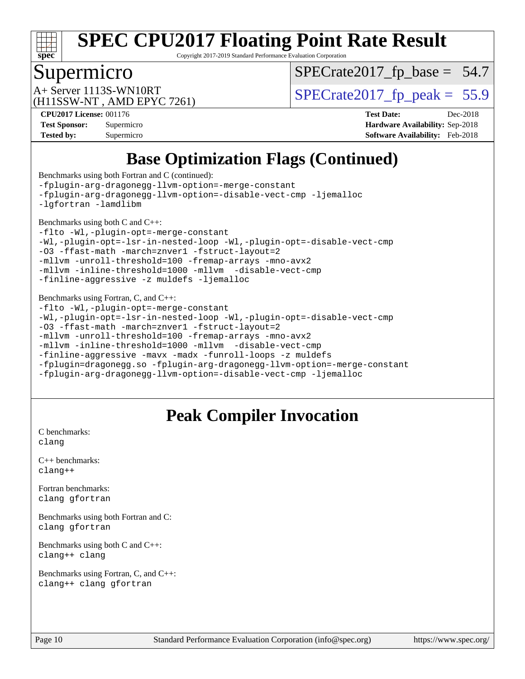

Copyright 2017-2019 Standard Performance Evaluation Corporation

### Supermicro

 $SPECTate2017_fp\_base = 54.7$ 

(H11SSW-NT , AMD EPYC 7261)

 $A+$  Server 1113S-WN10RT  $\begin{array}{c|c}\n\text{SPECrate2017\_fp\_peak} = 55.9\n\end{array}$ 

**[CPU2017 License:](http://www.spec.org/auto/cpu2017/Docs/result-fields.html#CPU2017License)** 001176 **[Test Date:](http://www.spec.org/auto/cpu2017/Docs/result-fields.html#TestDate)** Dec-2018 **[Test Sponsor:](http://www.spec.org/auto/cpu2017/Docs/result-fields.html#TestSponsor)** Supermicro **[Hardware Availability:](http://www.spec.org/auto/cpu2017/Docs/result-fields.html#HardwareAvailability)** Sep-2018 **[Tested by:](http://www.spec.org/auto/cpu2017/Docs/result-fields.html#Testedby)** Supermicro **[Software Availability:](http://www.spec.org/auto/cpu2017/Docs/result-fields.html#SoftwareAvailability)** Feb-2018

# **[Base Optimization Flags \(Continued\)](http://www.spec.org/auto/cpu2017/Docs/result-fields.html#BaseOptimizationFlags)**

[Benchmarks using both Fortran and C](http://www.spec.org/auto/cpu2017/Docs/result-fields.html#BenchmarksusingbothFortranandC) (continued): [-fplugin-arg-dragonegg-llvm-option=-merge-constant](http://www.spec.org/cpu2017/results/res2019q1/cpu2017-20181224-10345.flags.html#user_CC_FCbase_F-merge-constant_37fd66d07a4fbae8f1b816e843c3ed1ebaa48f794b65ea8be746a1880566a3d23eba4a3c37b5c024650311adcf9247c62af28144803b3729b14be14423fa5142) [-fplugin-arg-dragonegg-llvm-option=-disable-vect-cmp](http://www.spec.org/cpu2017/results/res2019q1/cpu2017-20181224-10345.flags.html#user_CC_FCbase_disable-vect-cmp_d119dd6f96524d64dc477d5e6a72268aebe046b42f767098038bf7530fc0cc546dd329b2376104fde185baca14f7365ef86ccd3ff602b57a7839de005478f594) [-ljemalloc](http://www.spec.org/cpu2017/results/res2019q1/cpu2017-20181224-10345.flags.html#user_CC_FCbase_jemalloc-lib_d1249b907c500fa1c0672f44f562e3d0f79738ae9e3c4a9c376d49f265a04b9c99b167ecedbf6711b3085be911c67ff61f150a17b3472be731631ba4d0471706) [-lgfortran](http://www.spec.org/cpu2017/results/res2019q1/cpu2017-20181224-10345.flags.html#user_CC_FCbase_F-lgfortran) [-lamdlibm](http://www.spec.org/cpu2017/results/res2019q1/cpu2017-20181224-10345.flags.html#user_CC_FCbase_F-lamdlibm) [Benchmarks using both C and C++](http://www.spec.org/auto/cpu2017/Docs/result-fields.html#BenchmarksusingbothCandCXX): [-flto](http://www.spec.org/cpu2017/results/res2019q1/cpu2017-20181224-10345.flags.html#user_CC_CXXbase_lto) [-Wl,-plugin-opt=-merge-constant](http://www.spec.org/cpu2017/results/res2019q1/cpu2017-20181224-10345.flags.html#user_CC_CXXbase_F-merge-constant_1d79771b5442061d9c8e05556c6b0c655e6c9e66f8c6936b0129d434b6acd2b1cf1b7cd2540d1570ff636111b08a6bc36e2e61fc34531f8ef7c1a34c57be1dbb) [-Wl,-plugin-opt=-lsr-in-nested-loop](http://www.spec.org/cpu2017/results/res2019q1/cpu2017-20181224-10345.flags.html#user_CC_CXXbase_lsr-in-nested-loop_1cff93fd95162f5e77640b5271e8bed680fb62b4a8d96fb8ab217ff3244646f1fbb342e31af83c263403bbf5249c7dc7732d5c86c3eab4cc8d32dcb7a6f33ca0) [-Wl,-plugin-opt=-disable-vect-cmp](http://www.spec.org/cpu2017/results/res2019q1/cpu2017-20181224-10345.flags.html#user_CC_CXXbase_disable-vect-cmp_1056b9a09b8ddc126e023b5f99ae33179ef568835465af9b7adeacf4b6480ff575c8aee439265bcfbcbf086f33f2fa5cca2bc4cf52b64c0cd2e10f6503cba02d) [-O3](http://www.spec.org/cpu2017/results/res2019q1/cpu2017-20181224-10345.flags.html#user_CC_CXXbase_F-O3) [-ffast-math](http://www.spec.org/cpu2017/results/res2019q1/cpu2017-20181224-10345.flags.html#user_CC_CXXbase_F-aocc-ffast-math_78dd175de6534c2005829757b9b0f2878e57b067cce6f7c443b2250ac68890960e2e1b320ca04b81ff7c62c6f87870ed05f06baf7875eea2990d38e3b73c71f1) [-march=znver1](http://www.spec.org/cpu2017/results/res2019q1/cpu2017-20181224-10345.flags.html#user_CC_CXXbase_F-march) [-fstruct-layout=2](http://www.spec.org/cpu2017/results/res2019q1/cpu2017-20181224-10345.flags.html#user_CC_CXXbase_F-fstruct-layout_a05ec02e17cdf7fe0c3950a6b005251b2b1e5e67af2b5298cf72714730c3d59ba290e75546b10aa22dac074c15ceaca36ae22c62cb51bcb2fbdc9dc4e7e222c4) [-mllvm -unroll-threshold=100](http://www.spec.org/cpu2017/results/res2019q1/cpu2017-20181224-10345.flags.html#user_CC_CXXbase_F-unroll-threshold_2755d0c78138845d361fa1543e3a063fffa198df9b3edf0cfb856bbc88a81e1769b12ac7a550c5d35197be55360db1a3f95a8d1304df999456cabf5120c45168) [-fremap-arrays](http://www.spec.org/cpu2017/results/res2019q1/cpu2017-20181224-10345.flags.html#user_CC_CXXbase_F-fremap-arrays) [-mno-avx2](http://www.spec.org/cpu2017/results/res2019q1/cpu2017-20181224-10345.flags.html#user_CC_CXXbase_F-mno-avx2) [-mllvm -inline-threshold=1000](http://www.spec.org/cpu2017/results/res2019q1/cpu2017-20181224-10345.flags.html#user_CC_CXXbase_inline-threshold_b7832241b0a6397e4ecdbaf0eb7defdc10f885c2a282fa3240fdc99844d543fda39cf8a4a9dccf68cf19b5438ac3b455264f478df15da0f4988afa40d8243bab) [-mllvm -disable-vect-cmp](http://www.spec.org/cpu2017/results/res2019q1/cpu2017-20181224-10345.flags.html#user_CC_CXXbase_disable-vect-cmp_d995c9eb800469498c6893dc847c54c903d59847b18cb2ac22011b9af7010c96d2d48d3c6b41246fe86945001509aa4dc528afb61cb238fd3b256a31781ea0cf) [-finline-aggressive](http://www.spec.org/cpu2017/results/res2019q1/cpu2017-20181224-10345.flags.html#user_CC_CXXbase_F-finline-aggressive) [-z muldefs](http://www.spec.org/cpu2017/results/res2019q1/cpu2017-20181224-10345.flags.html#user_CC_CXXbase_F-z-muldefs) [-ljemalloc](http://www.spec.org/cpu2017/results/res2019q1/cpu2017-20181224-10345.flags.html#user_CC_CXXbase_jemalloc-lib_d1249b907c500fa1c0672f44f562e3d0f79738ae9e3c4a9c376d49f265a04b9c99b167ecedbf6711b3085be911c67ff61f150a17b3472be731631ba4d0471706) [Benchmarks using Fortran, C, and C++:](http://www.spec.org/auto/cpu2017/Docs/result-fields.html#BenchmarksusingFortranCandCXX) [-flto](http://www.spec.org/cpu2017/results/res2019q1/cpu2017-20181224-10345.flags.html#user_CC_CXX_FCbase_lto) [-Wl,-plugin-opt=-merge-constant](http://www.spec.org/cpu2017/results/res2019q1/cpu2017-20181224-10345.flags.html#user_CC_CXX_FCbase_F-merge-constant_1d79771b5442061d9c8e05556c6b0c655e6c9e66f8c6936b0129d434b6acd2b1cf1b7cd2540d1570ff636111b08a6bc36e2e61fc34531f8ef7c1a34c57be1dbb) [-Wl,-plugin-opt=-lsr-in-nested-loop](http://www.spec.org/cpu2017/results/res2019q1/cpu2017-20181224-10345.flags.html#user_CC_CXX_FCbase_lsr-in-nested-loop_1cff93fd95162f5e77640b5271e8bed680fb62b4a8d96fb8ab217ff3244646f1fbb342e31af83c263403bbf5249c7dc7732d5c86c3eab4cc8d32dcb7a6f33ca0) [-Wl,-plugin-opt=-disable-vect-cmp](http://www.spec.org/cpu2017/results/res2019q1/cpu2017-20181224-10345.flags.html#user_CC_CXX_FCbase_disable-vect-cmp_1056b9a09b8ddc126e023b5f99ae33179ef568835465af9b7adeacf4b6480ff575c8aee439265bcfbcbf086f33f2fa5cca2bc4cf52b64c0cd2e10f6503cba02d) [-O3](http://www.spec.org/cpu2017/results/res2019q1/cpu2017-20181224-10345.flags.html#user_CC_CXX_FCbase_F-O3) [-ffast-math](http://www.spec.org/cpu2017/results/res2019q1/cpu2017-20181224-10345.flags.html#user_CC_CXX_FCbase_F-aocc-ffast-math_78dd175de6534c2005829757b9b0f2878e57b067cce6f7c443b2250ac68890960e2e1b320ca04b81ff7c62c6f87870ed05f06baf7875eea2990d38e3b73c71f1) [-march=znver1](http://www.spec.org/cpu2017/results/res2019q1/cpu2017-20181224-10345.flags.html#user_CC_CXX_FCbase_F-march) [-fstruct-layout=2](http://www.spec.org/cpu2017/results/res2019q1/cpu2017-20181224-10345.flags.html#user_CC_CXX_FCbase_F-fstruct-layout_a05ec02e17cdf7fe0c3950a6b005251b2b1e5e67af2b5298cf72714730c3d59ba290e75546b10aa22dac074c15ceaca36ae22c62cb51bcb2fbdc9dc4e7e222c4) [-mllvm -unroll-threshold=100](http://www.spec.org/cpu2017/results/res2019q1/cpu2017-20181224-10345.flags.html#user_CC_CXX_FCbase_F-unroll-threshold_2755d0c78138845d361fa1543e3a063fffa198df9b3edf0cfb856bbc88a81e1769b12ac7a550c5d35197be55360db1a3f95a8d1304df999456cabf5120c45168) [-fremap-arrays](http://www.spec.org/cpu2017/results/res2019q1/cpu2017-20181224-10345.flags.html#user_CC_CXX_FCbase_F-fremap-arrays) [-mno-avx2](http://www.spec.org/cpu2017/results/res2019q1/cpu2017-20181224-10345.flags.html#user_CC_CXX_FCbase_F-mno-avx2) [-mllvm -inline-threshold=1000](http://www.spec.org/cpu2017/results/res2019q1/cpu2017-20181224-10345.flags.html#user_CC_CXX_FCbase_inline-threshold_b7832241b0a6397e4ecdbaf0eb7defdc10f885c2a282fa3240fdc99844d543fda39cf8a4a9dccf68cf19b5438ac3b455264f478df15da0f4988afa40d8243bab) [-mllvm -disable-vect-cmp](http://www.spec.org/cpu2017/results/res2019q1/cpu2017-20181224-10345.flags.html#user_CC_CXX_FCbase_disable-vect-cmp_d995c9eb800469498c6893dc847c54c903d59847b18cb2ac22011b9af7010c96d2d48d3c6b41246fe86945001509aa4dc528afb61cb238fd3b256a31781ea0cf) [-finline-aggressive](http://www.spec.org/cpu2017/results/res2019q1/cpu2017-20181224-10345.flags.html#user_CC_CXX_FCbase_F-finline-aggressive) [-mavx](http://www.spec.org/cpu2017/results/res2019q1/cpu2017-20181224-10345.flags.html#user_CC_CXX_FCbase_F-mavx) [-madx](http://www.spec.org/cpu2017/results/res2019q1/cpu2017-20181224-10345.flags.html#user_CC_CXX_FCbase_F-madx) [-funroll-loops](http://www.spec.org/cpu2017/results/res2019q1/cpu2017-20181224-10345.flags.html#user_CC_CXX_FCbase_aocc-funroll-loops) [-z muldefs](http://www.spec.org/cpu2017/results/res2019q1/cpu2017-20181224-10345.flags.html#user_CC_CXX_FCbase_F-z-muldefs) [-fplugin=dragonegg.so](http://www.spec.org/cpu2017/results/res2019q1/cpu2017-20181224-10345.flags.html#user_CC_CXX_FCbase_F-fpluginDragonEgg) [-fplugin-arg-dragonegg-llvm-option=-merge-constant](http://www.spec.org/cpu2017/results/res2019q1/cpu2017-20181224-10345.flags.html#user_CC_CXX_FCbase_F-merge-constant_37fd66d07a4fbae8f1b816e843c3ed1ebaa48f794b65ea8be746a1880566a3d23eba4a3c37b5c024650311adcf9247c62af28144803b3729b14be14423fa5142) [-fplugin-arg-dragonegg-llvm-option=-disable-vect-cmp](http://www.spec.org/cpu2017/results/res2019q1/cpu2017-20181224-10345.flags.html#user_CC_CXX_FCbase_disable-vect-cmp_d119dd6f96524d64dc477d5e6a72268aebe046b42f767098038bf7530fc0cc546dd329b2376104fde185baca14f7365ef86ccd3ff602b57a7839de005478f594) [-ljemalloc](http://www.spec.org/cpu2017/results/res2019q1/cpu2017-20181224-10345.flags.html#user_CC_CXX_FCbase_jemalloc-lib_d1249b907c500fa1c0672f44f562e3d0f79738ae9e3c4a9c376d49f265a04b9c99b167ecedbf6711b3085be911c67ff61f150a17b3472be731631ba4d0471706)

## **[Peak Compiler Invocation](http://www.spec.org/auto/cpu2017/Docs/result-fields.html#PeakCompilerInvocation)**

[C benchmarks](http://www.spec.org/auto/cpu2017/Docs/result-fields.html#Cbenchmarks): [clang](http://www.spec.org/cpu2017/results/res2019q1/cpu2017-20181224-10345.flags.html#user_CCpeak_Fclang3_a68b77bfed473bd9cdd22529af008e8306c2e3948617c8991604c1a2000ee4a73ef90dd8bc793e105fe4165a625d26dacbda4708d828ad19048918c071b363ec)

[C++ benchmarks:](http://www.spec.org/auto/cpu2017/Docs/result-fields.html#CXXbenchmarks) [clang++](http://www.spec.org/cpu2017/results/res2019q1/cpu2017-20181224-10345.flags.html#user_CXXpeak_Fclang3_57a48582e5be507d19b2527b3e7d4f85d9b8669ffc9a8a0dbb9bcf949a918a58bbab411e0c4d14a3922022a3e425a90db94042683824c1806feff4324ca1000d)

[Fortran benchmarks](http://www.spec.org/auto/cpu2017/Docs/result-fields.html#Fortranbenchmarks): [clang](http://www.spec.org/cpu2017/results/res2019q1/cpu2017-20181224-10345.flags.html#user_FCpeak_Fclang3_a68b77bfed473bd9cdd22529af008e8306c2e3948617c8991604c1a2000ee4a73ef90dd8bc793e105fe4165a625d26dacbda4708d828ad19048918c071b363ec) [gfortran](http://www.spec.org/cpu2017/results/res2019q1/cpu2017-20181224-10345.flags.html#user_FCpeak_aocc-gfortran_128c91a56d61ddb07404721e65b8f9498c31a443dacbd3b7f212891090eca86e2d099b520f75b99e9e8ac4fdec01f4d15f0b65e47123ec4c42b0759045731a1f)

[Benchmarks using both Fortran and C](http://www.spec.org/auto/cpu2017/Docs/result-fields.html#BenchmarksusingbothFortranandC): [clang](http://www.spec.org/cpu2017/results/res2019q1/cpu2017-20181224-10345.flags.html#user_CC_FCpeak_Fclang3_a68b77bfed473bd9cdd22529af008e8306c2e3948617c8991604c1a2000ee4a73ef90dd8bc793e105fe4165a625d26dacbda4708d828ad19048918c071b363ec) [gfortran](http://www.spec.org/cpu2017/results/res2019q1/cpu2017-20181224-10345.flags.html#user_CC_FCpeak_aocc-gfortran_128c91a56d61ddb07404721e65b8f9498c31a443dacbd3b7f212891090eca86e2d099b520f75b99e9e8ac4fdec01f4d15f0b65e47123ec4c42b0759045731a1f)

[Benchmarks using both C and C++](http://www.spec.org/auto/cpu2017/Docs/result-fields.html#BenchmarksusingbothCandCXX): [clang++](http://www.spec.org/cpu2017/results/res2019q1/cpu2017-20181224-10345.flags.html#user_CC_CXXpeak_Fclang3_57a48582e5be507d19b2527b3e7d4f85d9b8669ffc9a8a0dbb9bcf949a918a58bbab411e0c4d14a3922022a3e425a90db94042683824c1806feff4324ca1000d) [clang](http://www.spec.org/cpu2017/results/res2019q1/cpu2017-20181224-10345.flags.html#user_CC_CXXpeak_Fclang3_a68b77bfed473bd9cdd22529af008e8306c2e3948617c8991604c1a2000ee4a73ef90dd8bc793e105fe4165a625d26dacbda4708d828ad19048918c071b363ec)

[Benchmarks using Fortran, C, and C++:](http://www.spec.org/auto/cpu2017/Docs/result-fields.html#BenchmarksusingFortranCandCXX) [clang++](http://www.spec.org/cpu2017/results/res2019q1/cpu2017-20181224-10345.flags.html#user_CC_CXX_FCpeak_Fclang3_57a48582e5be507d19b2527b3e7d4f85d9b8669ffc9a8a0dbb9bcf949a918a58bbab411e0c4d14a3922022a3e425a90db94042683824c1806feff4324ca1000d) [clang](http://www.spec.org/cpu2017/results/res2019q1/cpu2017-20181224-10345.flags.html#user_CC_CXX_FCpeak_Fclang3_a68b77bfed473bd9cdd22529af008e8306c2e3948617c8991604c1a2000ee4a73ef90dd8bc793e105fe4165a625d26dacbda4708d828ad19048918c071b363ec) [gfortran](http://www.spec.org/cpu2017/results/res2019q1/cpu2017-20181224-10345.flags.html#user_CC_CXX_FCpeak_aocc-gfortran_128c91a56d61ddb07404721e65b8f9498c31a443dacbd3b7f212891090eca86e2d099b520f75b99e9e8ac4fdec01f4d15f0b65e47123ec4c42b0759045731a1f)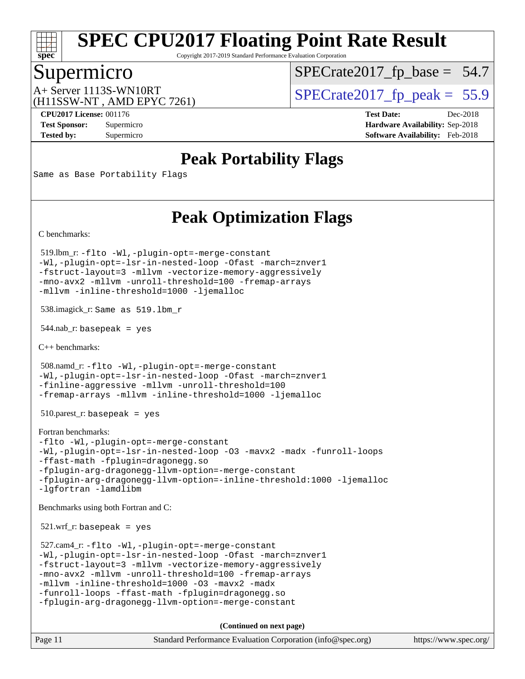

Copyright 2017-2019 Standard Performance Evaluation Corporation

# Supermicro

 $SPECTate2017_fp\_base = 54.7$ 

(H11SSW-NT , AMD EPYC 7261)

 $A+$  Server 1113S-WN10RT  $\begin{array}{c|c}\n\text{SPECrate2017\_fp\_peak} = 55.9\n\end{array}$ 

**[Tested by:](http://www.spec.org/auto/cpu2017/Docs/result-fields.html#Testedby)** Supermicro **[Software Availability:](http://www.spec.org/auto/cpu2017/Docs/result-fields.html#SoftwareAvailability)** Feb-2018

**[CPU2017 License:](http://www.spec.org/auto/cpu2017/Docs/result-fields.html#CPU2017License)** 001176 **[Test Date:](http://www.spec.org/auto/cpu2017/Docs/result-fields.html#TestDate)** Dec-2018 **[Test Sponsor:](http://www.spec.org/auto/cpu2017/Docs/result-fields.html#TestSponsor)** Supermicro **[Hardware Availability:](http://www.spec.org/auto/cpu2017/Docs/result-fields.html#HardwareAvailability)** Sep-2018

## **[Peak Portability Flags](http://www.spec.org/auto/cpu2017/Docs/result-fields.html#PeakPortabilityFlags)**

Same as Base Portability Flags

## **[Peak Optimization Flags](http://www.spec.org/auto/cpu2017/Docs/result-fields.html#PeakOptimizationFlags)**

[C benchmarks](http://www.spec.org/auto/cpu2017/Docs/result-fields.html#Cbenchmarks):

 519.lbm\_r: [-flto](http://www.spec.org/cpu2017/results/res2019q1/cpu2017-20181224-10345.flags.html#user_peakCOPTIMIZEEXTRA_LDFLAGS519_lbm_r_lto) [-Wl,-plugin-opt=-merge-constant](http://www.spec.org/cpu2017/results/res2019q1/cpu2017-20181224-10345.flags.html#user_peakEXTRA_LDFLAGS519_lbm_r_F-merge-constant_1d79771b5442061d9c8e05556c6b0c655e6c9e66f8c6936b0129d434b6acd2b1cf1b7cd2540d1570ff636111b08a6bc36e2e61fc34531f8ef7c1a34c57be1dbb) [-Wl,-plugin-opt=-lsr-in-nested-loop](http://www.spec.org/cpu2017/results/res2019q1/cpu2017-20181224-10345.flags.html#user_peakEXTRA_LDFLAGS519_lbm_r_lsr-in-nested-loop_1cff93fd95162f5e77640b5271e8bed680fb62b4a8d96fb8ab217ff3244646f1fbb342e31af83c263403bbf5249c7dc7732d5c86c3eab4cc8d32dcb7a6f33ca0) [-Ofast](http://www.spec.org/cpu2017/results/res2019q1/cpu2017-20181224-10345.flags.html#user_peakCOPTIMIZE519_lbm_r_F-aocc-Ofast) [-march=znver1](http://www.spec.org/cpu2017/results/res2019q1/cpu2017-20181224-10345.flags.html#user_peakCOPTIMIZE519_lbm_r_F-march) [-fstruct-layout=3](http://www.spec.org/cpu2017/results/res2019q1/cpu2017-20181224-10345.flags.html#user_peakCOPTIMIZE519_lbm_r_F-fstruct-layout) [-mllvm -vectorize-memory-aggressively](http://www.spec.org/cpu2017/results/res2019q1/cpu2017-20181224-10345.flags.html#user_peakCOPTIMIZE519_lbm_r_vectorize-memory-aggressively_24b72a4417f50ade9e698c5b3bed87ab456cc6fc8ec6439480cb84f36ad6a3975af6e87206dea402e3871a1464ff3d60bc798e0250f330177ba629a260df1857) [-mno-avx2](http://www.spec.org/cpu2017/results/res2019q1/cpu2017-20181224-10345.flags.html#user_peakCOPTIMIZE519_lbm_r_F-mno-avx2) [-mllvm -unroll-threshold=100](http://www.spec.org/cpu2017/results/res2019q1/cpu2017-20181224-10345.flags.html#user_peakCOPTIMIZE519_lbm_r_F-unroll-threshold_2755d0c78138845d361fa1543e3a063fffa198df9b3edf0cfb856bbc88a81e1769b12ac7a550c5d35197be55360db1a3f95a8d1304df999456cabf5120c45168) [-fremap-arrays](http://www.spec.org/cpu2017/results/res2019q1/cpu2017-20181224-10345.flags.html#user_peakCOPTIMIZE519_lbm_r_F-fremap-arrays) [-mllvm -inline-threshold=1000](http://www.spec.org/cpu2017/results/res2019q1/cpu2017-20181224-10345.flags.html#user_peakCOPTIMIZE519_lbm_r_inline-threshold_b7832241b0a6397e4ecdbaf0eb7defdc10f885c2a282fa3240fdc99844d543fda39cf8a4a9dccf68cf19b5438ac3b455264f478df15da0f4988afa40d8243bab) [-ljemalloc](http://www.spec.org/cpu2017/results/res2019q1/cpu2017-20181224-10345.flags.html#user_peakEXTRA_LIBS519_lbm_r_jemalloc-lib_d1249b907c500fa1c0672f44f562e3d0f79738ae9e3c4a9c376d49f265a04b9c99b167ecedbf6711b3085be911c67ff61f150a17b3472be731631ba4d0471706)

538.imagick\_r: Same as 519.lbm\_r

544.nab\_r: basepeak = yes

[C++ benchmarks:](http://www.spec.org/auto/cpu2017/Docs/result-fields.html#CXXbenchmarks)

 508.namd\_r: [-flto](http://www.spec.org/cpu2017/results/res2019q1/cpu2017-20181224-10345.flags.html#user_peakCXXOPTIMIZEEXTRA_LDFLAGS508_namd_r_lto) [-Wl,-plugin-opt=-merge-constant](http://www.spec.org/cpu2017/results/res2019q1/cpu2017-20181224-10345.flags.html#user_peakEXTRA_LDFLAGS508_namd_r_F-merge-constant_1d79771b5442061d9c8e05556c6b0c655e6c9e66f8c6936b0129d434b6acd2b1cf1b7cd2540d1570ff636111b08a6bc36e2e61fc34531f8ef7c1a34c57be1dbb) [-Wl,-plugin-opt=-lsr-in-nested-loop](http://www.spec.org/cpu2017/results/res2019q1/cpu2017-20181224-10345.flags.html#user_peakEXTRA_LDFLAGS508_namd_r_lsr-in-nested-loop_1cff93fd95162f5e77640b5271e8bed680fb62b4a8d96fb8ab217ff3244646f1fbb342e31af83c263403bbf5249c7dc7732d5c86c3eab4cc8d32dcb7a6f33ca0) [-Ofast](http://www.spec.org/cpu2017/results/res2019q1/cpu2017-20181224-10345.flags.html#user_peakCXXOPTIMIZE508_namd_r_F-aocc-Ofast) [-march=znver1](http://www.spec.org/cpu2017/results/res2019q1/cpu2017-20181224-10345.flags.html#user_peakCXXOPTIMIZE508_namd_r_F-march) [-finline-aggressive](http://www.spec.org/cpu2017/results/res2019q1/cpu2017-20181224-10345.flags.html#user_peakCXXOPTIMIZE508_namd_r_F-finline-aggressive) [-mllvm -unroll-threshold=100](http://www.spec.org/cpu2017/results/res2019q1/cpu2017-20181224-10345.flags.html#user_peakCXXOPTIMIZE508_namd_r_F-unroll-threshold_2755d0c78138845d361fa1543e3a063fffa198df9b3edf0cfb856bbc88a81e1769b12ac7a550c5d35197be55360db1a3f95a8d1304df999456cabf5120c45168) [-fremap-arrays](http://www.spec.org/cpu2017/results/res2019q1/cpu2017-20181224-10345.flags.html#user_peakCXXOPTIMIZE508_namd_r_F-fremap-arrays) [-mllvm -inline-threshold=1000](http://www.spec.org/cpu2017/results/res2019q1/cpu2017-20181224-10345.flags.html#user_peakCXXOPTIMIZE508_namd_r_inline-threshold_b7832241b0a6397e4ecdbaf0eb7defdc10f885c2a282fa3240fdc99844d543fda39cf8a4a9dccf68cf19b5438ac3b455264f478df15da0f4988afa40d8243bab) [-ljemalloc](http://www.spec.org/cpu2017/results/res2019q1/cpu2017-20181224-10345.flags.html#user_peakEXTRA_LIBS508_namd_r_jemalloc-lib_d1249b907c500fa1c0672f44f562e3d0f79738ae9e3c4a9c376d49f265a04b9c99b167ecedbf6711b3085be911c67ff61f150a17b3472be731631ba4d0471706)

 $510.parest_r:$  basepeak = yes

```
Fortran benchmarks: 
-flto -Wl,-plugin-opt=-merge-constant
-Wl,-plugin-opt=-lsr-in-nested-loop -O3 -mavx2 -madx -funroll-loops
-ffast-math -fplugin=dragonegg.so
-fplugin-arg-dragonegg-llvm-option=-merge-constant
-fplugin-arg-dragonegg-llvm-option=-inline-threshold:1000 -ljemalloc
-lgfortran -lamdlibm
```
[Benchmarks using both Fortran and C](http://www.spec.org/auto/cpu2017/Docs/result-fields.html#BenchmarksusingbothFortranandC):

 $521.wrf$ . basepeak = yes

```
 527.cam4_r: -flto -Wl,-plugin-opt=-merge-constant
-Wl,-plugin-opt=-lsr-in-nested-loop -Ofast -march=znver1
-fstruct-layout=3 -mllvm -vectorize-memory-aggressively
-mno-avx2 -mllvm -unroll-threshold=100 -fremap-arrays
-mllvm -inline-threshold=1000 -O3 -mavx2 -madx
-funroll-loops -ffast-math -fplugin=dragonegg.so
-fplugin-arg-dragonegg-llvm-option=-merge-constant
```
**(Continued on next page)**